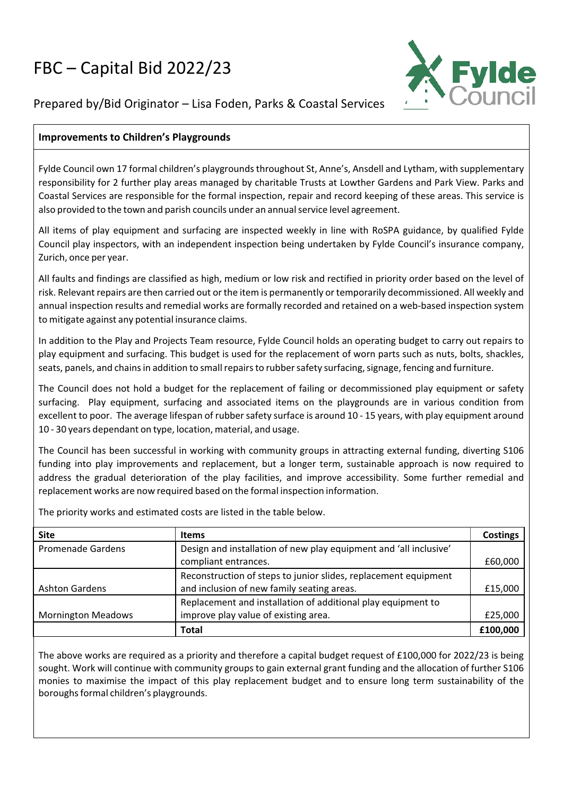## FBC – Capital Bid 2022/23



## Prepared by/Bid Originator – Lisa Foden, Parks & Coastal Services

## **Improvements to Children's Playgrounds**

Fylde Council own 17 formal children's playgrounds throughout St, Anne's, Ansdell and Lytham, with supplementary responsibility for 2 further play areas managed by charitable Trusts at Lowther Gardens and Park View. Parks and Coastal Services are responsible for the formal inspection, repair and record keeping of these areas. This service is also provided to the town and parish councils under an annualservice level agreement.

All items of play equipment and surfacing are inspected weekly in line with RoSPA guidance, by qualified Fylde Council play inspectors, with an independent inspection being undertaken by Fylde Council's insurance company, Zurich, once per year.

All faults and findings are classified as high, medium or low risk and rectified in priority order based on the level of risk. Relevant repairs are then carried out or the item is permanently or temporarily decommissioned. All weekly and annual inspection results and remedial works are formally recorded and retained on a web-based inspection system to mitigate against any potential insurance claims.

In addition to the Play and Projects Team resource, Fylde Council holds an operating budget to carry out repairs to play equipment and surfacing. This budget is used for the replacement of worn parts such as nuts, bolts, shackles, seats, panels, and chains in addition to small repairs to rubber safety surfacing, signage, fencing and furniture.

The Council does not hold a budget for the replacement of failing or decommissioned play equipment or safety surfacing. Play equipment, surfacing and associated items on the playgrounds are in various condition from excellent to poor. The average lifespan of rubbersafety surface is around 10 ‐ 15 years, with play equipment around 10 ‐ 30 years dependant on type, location, material, and usage.

The Council has been successful in working with community groups in attracting external funding, diverting S106 funding into play improvements and replacement, but a longer term, sustainable approach is now required to address the gradual deterioration of the play facilities, and improve accessibility. Some further remedial and replacement works are now required based on the formal inspection information.

The priority works and estimated costs are listed in the table below.

| <b>Site</b>               | <b>Items</b>                                                      | <b>Costings</b> |
|---------------------------|-------------------------------------------------------------------|-----------------|
| <b>Promenade Gardens</b>  | Design and installation of new play equipment and 'all inclusive' |                 |
|                           | compliant entrances.                                              | £60,000         |
|                           | Reconstruction of steps to junior slides, replacement equipment   |                 |
| <b>Ashton Gardens</b>     | and inclusion of new family seating areas.                        | £15,000         |
|                           | Replacement and installation of additional play equipment to      |                 |
| <b>Mornington Meadows</b> | improve play value of existing area.                              | £25,000         |
|                           | Total                                                             | £100,000        |

The above works are required as a priority and therefore a capital budget request of £100,000 for 2022/23 is being sought. Work will continue with community groups to gain external grant funding and the allocation of further S106 monies to maximise the impact of this play replacement budget and to ensure long term sustainability of the boroughs formal children's playgrounds.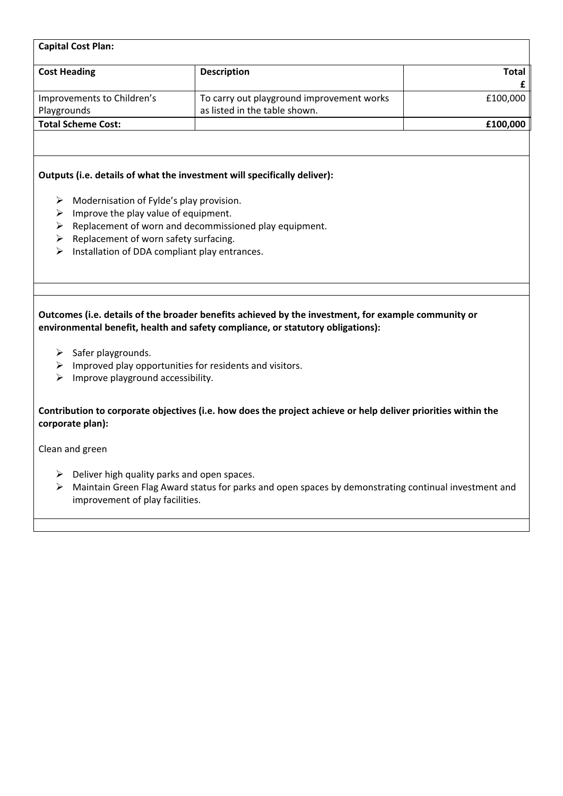| <b>Capital Cost Plan:</b>  |                                           |          |  |  |  |
|----------------------------|-------------------------------------------|----------|--|--|--|
| <b>Cost Heading</b>        | <b>Description</b>                        | Total    |  |  |  |
|                            |                                           |          |  |  |  |
| Improvements to Children's | To carry out playground improvement works | £100,000 |  |  |  |
| Playgrounds                | as listed in the table shown.             |          |  |  |  |
| <b>Total Scheme Cost:</b>  |                                           | £100,000 |  |  |  |
|                            |                                           |          |  |  |  |

## **Outputs (i.e. details of what the investment will specifically deliver):**

- $\triangleright$  Modernisation of Fylde's play provision.
- $\triangleright$  Improve the play value of equipment.
- $\triangleright$  Replacement of worn and decommissioned play equipment.
- $\triangleright$  Replacement of worn safety surfacing.
- $\triangleright$  Installation of DDA compliant play entrances.

**Outcomes (i.e. details of the broader benefits achieved by the investment, for example community or environmental benefit, health and safety compliance, or statutory obligations):**

- $\triangleright$  Safer playgrounds.
- $\triangleright$  Improved play opportunities for residents and visitors.
- $\triangleright$  Improve playground accessibility.

**Contribution to corporate objectives (i.e. how does the project achieve or help deliver priorities within the corporate plan):**

Clean and green

- $\triangleright$  Deliver high quality parks and open spaces.
- $\triangleright$  Maintain Green Flag Award status for parks and open spaces by demonstrating continual investment and improvement of play facilities.